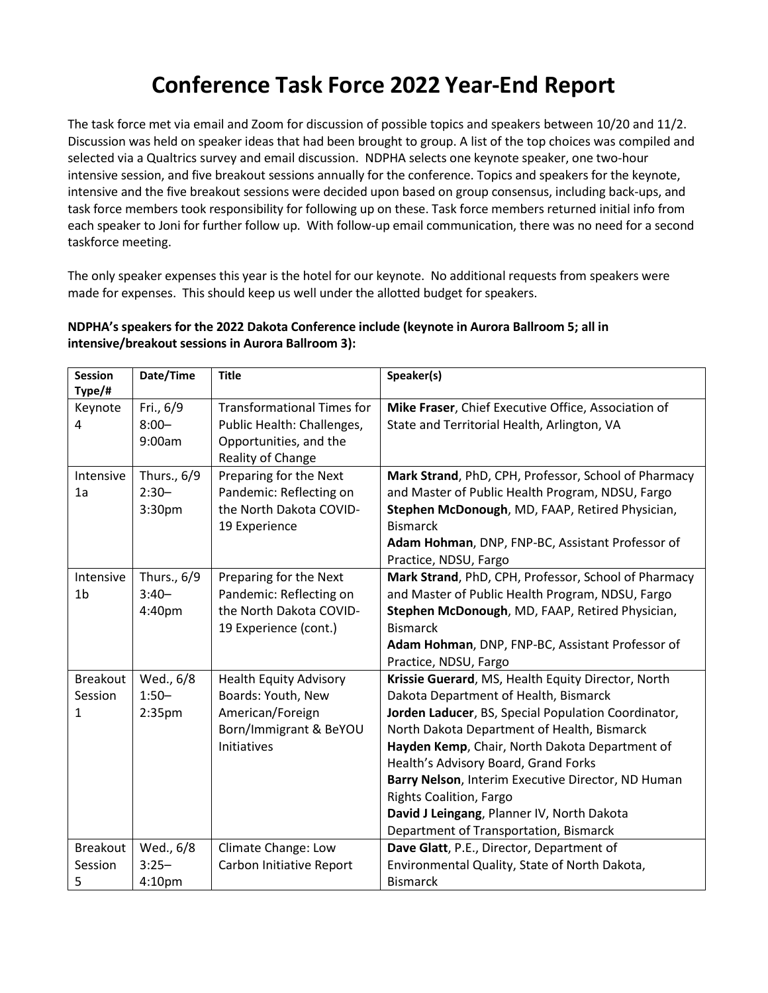## **Conference Task Force 2022 Year‐End Report**

The task force met via email and Zoom for discussion of possible topics and speakers between 10/20 and 11/2. Discussion was held on speaker ideas that had been brought to group. A list of the top choices was compiled and selected via a Qualtrics survey and email discussion. NDPHA selects one keynote speaker, one two-hour intensive session, and five breakout sessions annually for the conference. Topics and speakers for the keynote, intensive and the five breakout sessions were decided upon based on group consensus, including back-ups, and task force members took responsibility for following up on these. Task force members returned initial info from each speaker to Joni for further follow up. With follow-up email communication, there was no need for a second taskforce meeting.

The only speaker expenses this year is the hotel for our keynote. No additional requests from speakers were made for expenses. This should keep us well under the allotted budget for speakers.

## **NDPHA's speakers for the 2022 Dakota Conference include (keynote in Aurora Ballroom 5; all in intensive/breakout sessions in Aurora Ballroom 3):**

| <b>Session</b><br>Type/# | Date/Time          | <b>Title</b>                      | Speaker(s)                                           |
|--------------------------|--------------------|-----------------------------------|------------------------------------------------------|
| Keynote                  | Fri., 6/9          | <b>Transformational Times for</b> | Mike Fraser, Chief Executive Office, Association of  |
| 4                        | $8:00 -$           | Public Health: Challenges,        | State and Territorial Health, Arlington, VA          |
|                          | 9:00am             | Opportunities, and the            |                                                      |
|                          |                    | Reality of Change                 |                                                      |
| Intensive                | Thurs., 6/9        | Preparing for the Next            | Mark Strand, PhD, CPH, Professor, School of Pharmacy |
| 1a                       | $2:30-$            | Pandemic: Reflecting on           | and Master of Public Health Program, NDSU, Fargo     |
|                          | 3:30pm             | the North Dakota COVID-           | Stephen McDonough, MD, FAAP, Retired Physician,      |
|                          |                    | 19 Experience                     | <b>Bismarck</b>                                      |
|                          |                    |                                   | Adam Hohman, DNP, FNP-BC, Assistant Professor of     |
|                          |                    |                                   | Practice, NDSU, Fargo                                |
| Intensive                | Thurs., 6/9        | Preparing for the Next            | Mark Strand, PhD, CPH, Professor, School of Pharmacy |
| 1 <sub>b</sub>           | $3:40-$            | Pandemic: Reflecting on           | and Master of Public Health Program, NDSU, Fargo     |
|                          | 4:40pm             | the North Dakota COVID-           | Stephen McDonough, MD, FAAP, Retired Physician,      |
|                          |                    | 19 Experience (cont.)             | <b>Bismarck</b>                                      |
|                          |                    |                                   | Adam Hohman, DNP, FNP-BC, Assistant Professor of     |
|                          |                    |                                   | Practice, NDSU, Fargo                                |
| <b>Breakout</b>          | Wed., 6/8          | <b>Health Equity Advisory</b>     | Krissie Guerard, MS, Health Equity Director, North   |
| Session                  | $1:50-$            | Boards: Youth, New                | Dakota Department of Health, Bismarck                |
| 1                        | 2:35 <sub>pm</sub> | American/Foreign                  | Jorden Laducer, BS, Special Population Coordinator,  |
|                          |                    | Born/Immigrant & BeYOU            | North Dakota Department of Health, Bismarck          |
|                          |                    | Initiatives                       | Hayden Kemp, Chair, North Dakota Department of       |
|                          |                    |                                   | Health's Advisory Board, Grand Forks                 |
|                          |                    |                                   | Barry Nelson, Interim Executive Director, ND Human   |
|                          |                    |                                   | <b>Rights Coalition, Fargo</b>                       |
|                          |                    |                                   | David J Leingang, Planner IV, North Dakota           |
|                          |                    |                                   | Department of Transportation, Bismarck               |
| <b>Breakout</b>          | Wed., 6/8          | Climate Change: Low               | Dave Glatt, P.E., Director, Department of            |
| Session                  | $3:25-$            | Carbon Initiative Report          | Environmental Quality, State of North Dakota,        |
| 5                        | 4:10pm             |                                   | <b>Bismarck</b>                                      |